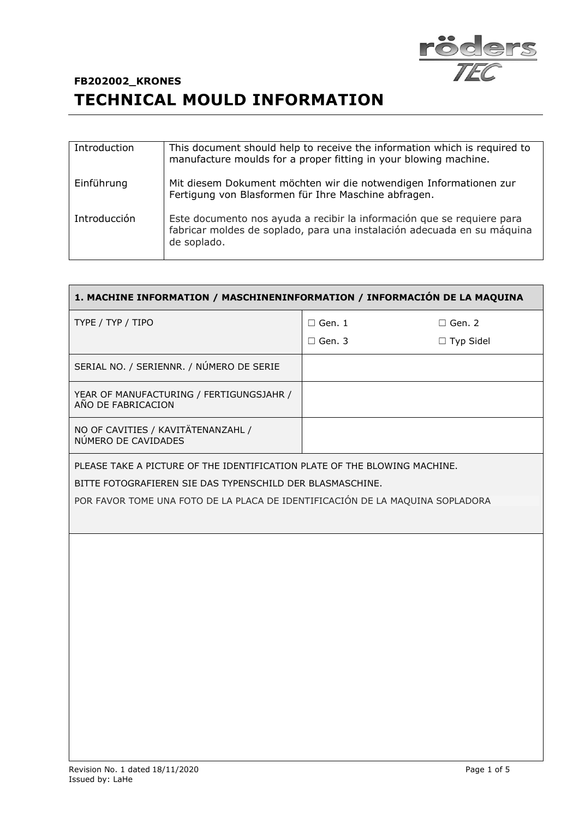

| Introduction | This document should help to receive the information which is required to<br>manufacture moulds for a proper fitting in your blowing machine.                    |
|--------------|------------------------------------------------------------------------------------------------------------------------------------------------------------------|
| Einführung   | Mit diesem Dokument möchten wir die notwendigen Informationen zur<br>Fertigung von Blasformen für Ihre Maschine abfragen.                                        |
| Introducción | Este documento nos ayuda a recibir la información que se requiere para<br>fabricar moldes de soplado, para una instalación adecuada en su máquina<br>de soplado. |

| 1. MACHINE INFORMATION / MASCHINENINFORMATION / INFORMACIÓN DE LA MAQUINA     |               |                  |  |  |
|-------------------------------------------------------------------------------|---------------|------------------|--|--|
| TYPE / TYP / TIPO                                                             | $\Box$ Gen. 1 | $\Box$ Gen. 2    |  |  |
|                                                                               | $\Box$ Gen. 3 | $\Box$ Typ Sidel |  |  |
| SERIAL NO. / SERIENNR. / NÚMERO DE SERIE                                      |               |                  |  |  |
| YEAR OF MANUFACTURING / FERTIGUNGSJAHR /<br>AÑO DE FABRICACION                |               |                  |  |  |
| NO OF CAVITIES / KAVITÄTENANZAHL /<br>NÚMERO DE CAVIDADES                     |               |                  |  |  |
| PLEASE TAKE A PICTURE OF THE IDENTIFICATION PLATE OF THE BLOWING MACHINE.     |               |                  |  |  |
| BITTE FOTOGRAFIEREN SIE DAS TYPENSCHILD DER BLASMASCHINE.                     |               |                  |  |  |
| POR FAVOR TOME UNA FOTO DE LA PLACA DE IDENTIFICACIÓN DE LA MAQUINA SOPLADORA |               |                  |  |  |
|                                                                               |               |                  |  |  |
|                                                                               |               |                  |  |  |
|                                                                               |               |                  |  |  |
|                                                                               |               |                  |  |  |
|                                                                               |               |                  |  |  |
|                                                                               |               |                  |  |  |
|                                                                               |               |                  |  |  |
|                                                                               |               |                  |  |  |
|                                                                               |               |                  |  |  |
|                                                                               |               |                  |  |  |
|                                                                               |               |                  |  |  |
|                                                                               |               |                  |  |  |
|                                                                               |               |                  |  |  |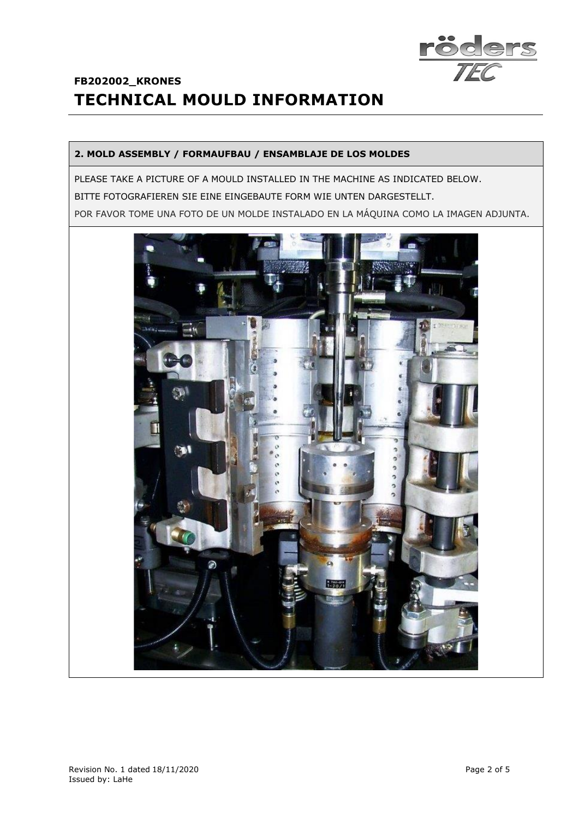

#### **2. MOLD ASSEMBLY / FORMAUFBAU / ENSAMBLAJE DE LOS MOLDES**

PLEASE TAKE A PICTURE OF A MOULD INSTALLED IN THE MACHINE AS INDICATED BELOW. BITTE FOTOGRAFIEREN SIE EINE EINGEBAUTE FORM WIE UNTEN DARGESTELLT. POR FAVOR TOME UNA FOTO DE UN MOLDE INSTALADO EN LA MÁQUINA COMO LA IMAGEN ADJUNTA.

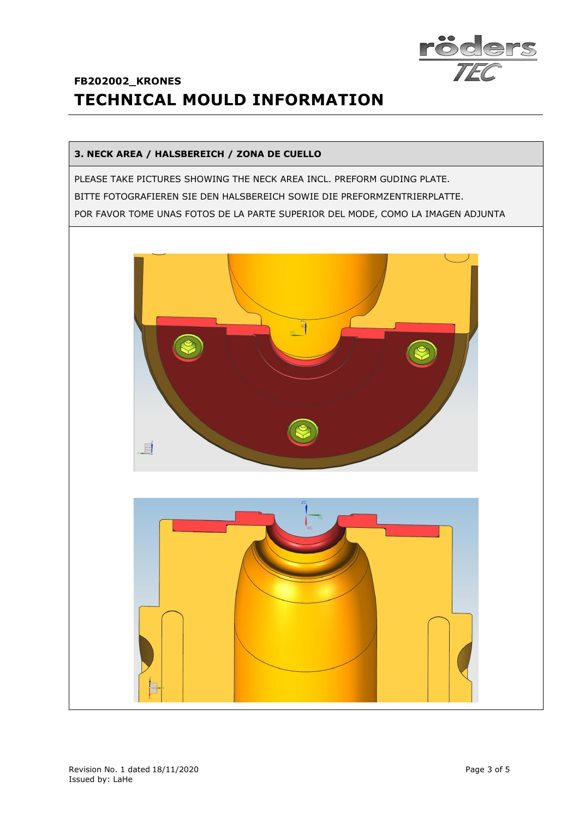

#### **3. NECK AREA / HALSBEREICH / ZONA DE CUELLO**

PLEASE TAKE PICTURES SHOWING THE NECK AREA INCL. PREFORM GUDING PLATE. BITTE FOTOGRAFIEREN SIE DEN HALSBEREICH SOWIE DIE PREFORMZENTRIERPLATTE. POR FAVOR TOME UNAS FOTOS DE LA PARTE SUPERIOR DEL MODE, COMO LA IMAGEN ADJUNTA



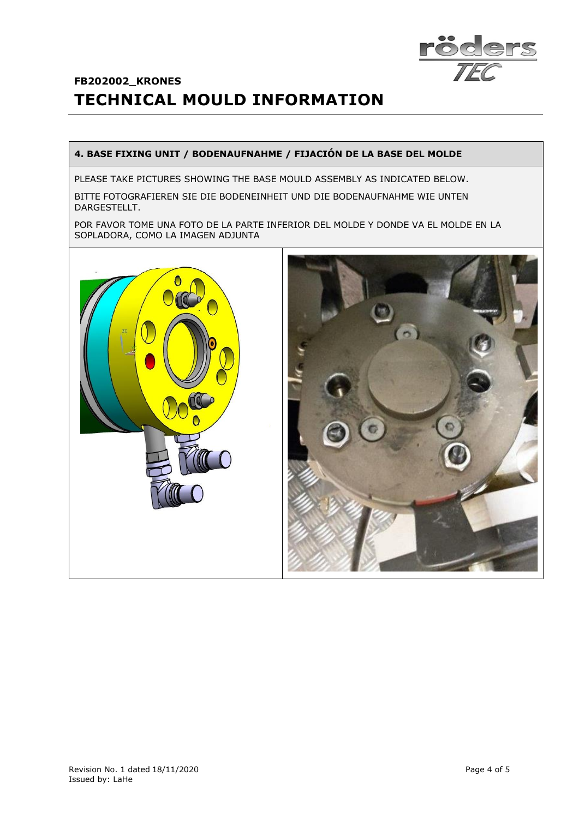

#### **4. BASE FIXING UNIT / BODENAUFNAHME / FIJACIÓN DE LA BASE DEL MOLDE**

PLEASE TAKE PICTURES SHOWING THE BASE MOULD ASSEMBLY AS INDICATED BELOW.

BITTE FOTOGRAFIEREN SIE DIE BODENEINHEIT UND DIE BODENAUFNAHME WIE UNTEN DARGESTELLT.

POR FAVOR TOME UNA FOTO DE LA PARTE INFERIOR DEL MOLDE Y DONDE VA EL MOLDE EN LA SOPLADORA, COMO LA IMAGEN ADJUNTA